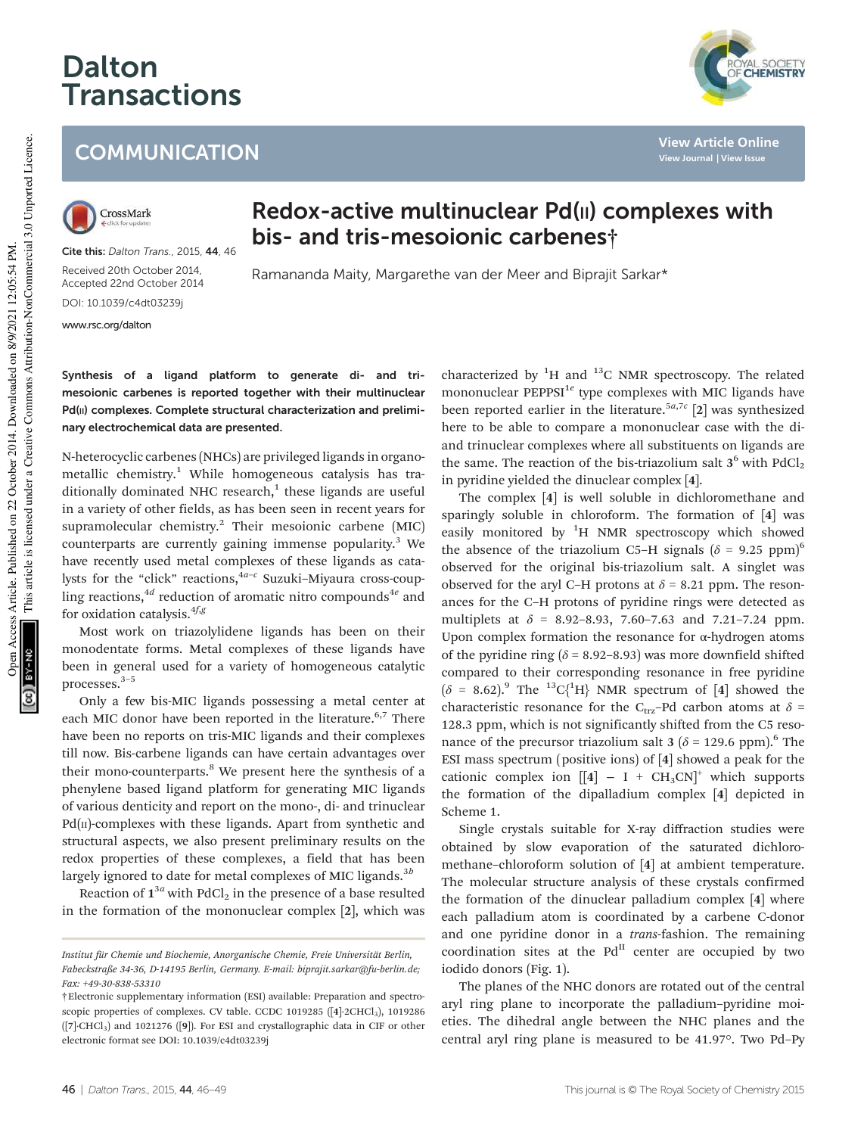## Dalton **Transactions**

**COMMUNICATION** 

**View Article Online View Journal | View Issue**

## This article is licensed under a Creative Commons Attribution-NonCommercial 3.0 Unported Licence. This article is licensed under a Creative Commons Attribution-NonCommercial 3.0 Unported Licence. Open Access Article. Published on 22 October 2014. Downloaded on 8/9/2021 12:05:54 PM. Open Access Article. Published on 22 October 2014. Downloaded on 8/9/2021 12:05:54 PM

**SA-NO** 

CrossMark

Cite this: Dalton Trans., 2015, 44, 46 Received 20th October 2014, Accepted 22nd October 2014 DOI: 10.1039/c4dt03239j

www.rsc.org/dalton

Redox-active multinuclear Pd(II) complexes with bis- and tris-mesoionic carbenes†

Ramananda Maity, Margarethe van der Meer and Biprajit Sarkar\*

Synthesis of a ligand platform to generate di- and trimesoionic carbenes is reported together with their multinuclear Pd(II) complexes. Complete structural characterization and preliminary electrochemical data are presented.

N-heterocyclic carbenes (NHCs) are privileged ligands in organometallic chemistry.<sup>1</sup> While homogeneous catalysis has traditionally dominated NHC research, $1$  these ligands are useful in a variety of other fields, as has been seen in recent years for supramolecular chemistry.<sup>2</sup> Their mesoionic carbene (MIC) counterparts are currently gaining immense popularity.<sup>3</sup> We have recently used metal complexes of these ligands as catalysts for the "click" reactions,<sup>4a-c</sup> Suzuki-Miyaura cross-coupling reactions,<sup>4d</sup> reduction of aromatic nitro compounds<sup>4e</sup> and for oxidation catalysis.  $4f, g$ 

Most work on triazolylidene ligands has been on their monodentate forms. Metal complexes of these ligands have been in general used for a variety of homogeneous catalytic processes.3–<sup>5</sup>

Only a few bis-MIC ligands possessing a metal center at each MIC donor have been reported in the literature.<sup>6,7</sup> There have been no reports on tris-MIC ligands and their complexes till now. Bis-carbene ligands can have certain advantages over their mono-counterparts.<sup>8</sup> We present here the synthesis of a phenylene based ligand platform for generating MIC ligands of various denticity and report on the mono-, di- and trinuclear  $Pd(n)$ -complexes with these ligands. Apart from synthetic and structural aspects, we also present preliminary results on the redox properties of these complexes, a field that has been largely ignored to date for metal complexes of MIC ligands. $3<sup>b</sup>$ 

Reaction of  $\boldsymbol{1}^{3a}$  with PdCl<sub>2</sub> in the presence of a base resulted in the formation of the mononuclear complex [2], which was

characterized by  ${}^{1}$ H and  ${}^{13}$ C NMR spectroscopy. The related mononuclear PEPPSI<sup>1e</sup> type complexes with MIC ligands have been reported earlier in the literature.<sup>5a,7c</sup> [2] was synthesized here to be able to compare a mononuclear case with the diand trinuclear complexes where all substituents on ligands are the same. The reaction of the bis-triazolium salt  $3^6$  with  $PdCl_2$ in pyridine yielded the dinuclear complex [4].

The complex [4] is well soluble in dichloromethane and sparingly soluble in chloroform. The formation of [4] was easily monitored by  ${}^{1}H$  NMR spectroscopy which showed the absence of the triazolium C5–H signals  $(\delta = 9.25 \text{ ppm})^6$ observed for the original bis-triazolium salt. A singlet was observed for the aryl C–H protons at  $\delta$  = 8.21 ppm. The resonances for the C–H protons of pyridine rings were detected as multiplets at  $\delta = 8.92 - 8.93$ , 7.60–7.63 and 7.21–7.24 ppm. Upon complex formation the resonance for α-hydrogen atoms of the pyridine ring  $(\delta = 8.92 - 8.93)$  was more downfield shifted compared to their corresponding resonance in free pyridine  $(\delta = 8.62)^9$  The <sup>13</sup>C{<sup>1</sup>H} NMR spectrum of [4] showed the characteristic resonance for the C<sub>trz</sub>-Pd carbon atoms at  $\delta$  = 128.3 ppm, which is not significantly shifted from the C5 resonance of the precursor triazolium salt 3 ( $\delta$  = 129.6 ppm).<sup>6</sup> The ESI mass spectrum (positive ions) of [4] showed a peak for the cationic complex ion  $[[4] - I + CH_3CN]^+$  which supports the formation of the dipalladium complex [4] depicted in Scheme 1.

Single crystals suitable for X-ray diffraction studies were obtained by slow evaporation of the saturated dichloromethane–chloroform solution of [4] at ambient temperature. The molecular structure analysis of these crystals confirmed the formation of the dinuclear palladium complex [4] where each palladium atom is coordinated by a carbene C-donor and one pyridine donor in a trans-fashion. The remaining coordination sites at the  $Pd<sup>H</sup>$  center are occupied by two iodido donors (Fig. 1).

The planes of the NHC donors are rotated out of the central aryl ring plane to incorporate the palladium–pyridine moieties. The dihedral angle between the NHC planes and the central aryl ring plane is measured to be 41.97°. Two Pd–Py

Institut für Chemie und Biochemie, Anorganische Chemie, Freie Universität Berlin, Fabeckstraße 34-36, D-14195 Berlin, Germany. E-mail: biprajit.sarkar@fu-berlin.de; Fax: +49-30-838-53310

<sup>†</sup>Electronic supplementary information (ESI) available: Preparation and spectroscopic properties of complexes. CV table. CCDC 1019285 ([4]-2CHCl<sub>3</sub>), 1019286 ([7]·CHCl3) and 1021276 ([9]). For ESI and crystallographic data in CIF or other electronic format see DOI: 10.1039/c4dt03239j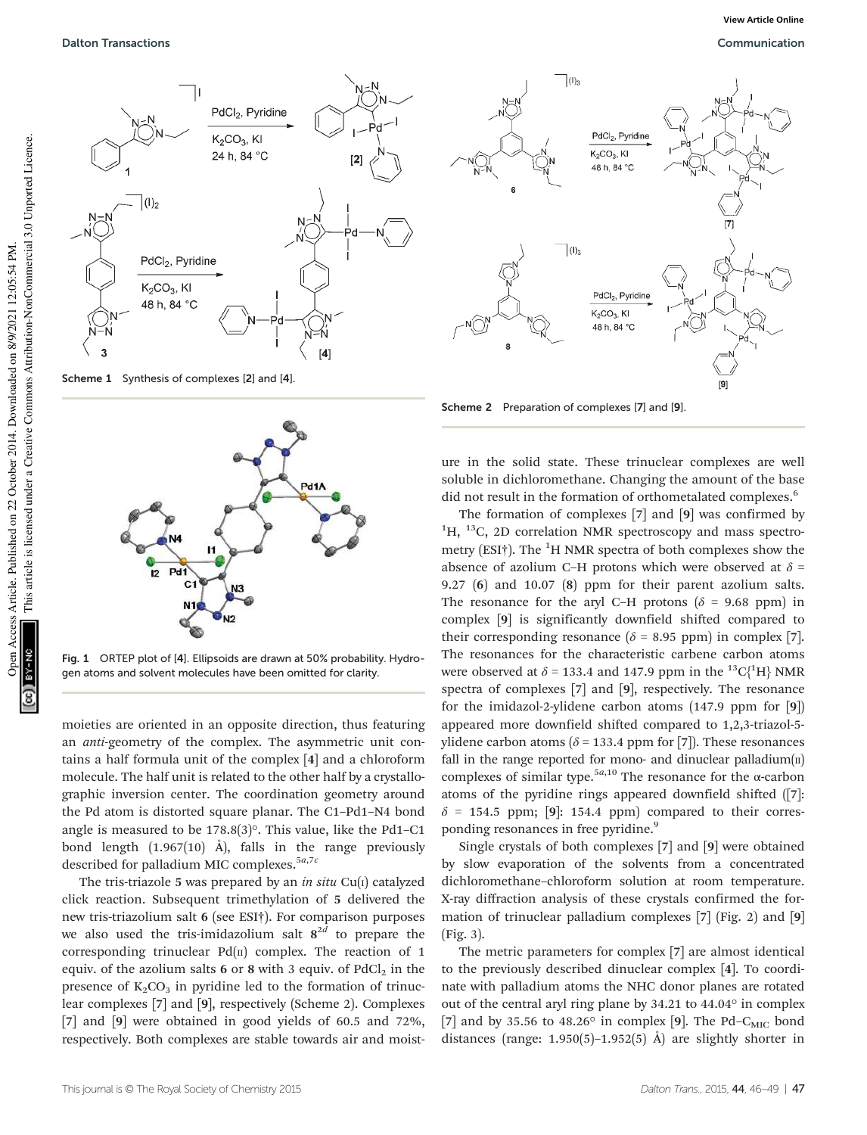

Scheme 1 Synthesis of complexes [2] and [4].



Fig. 1 ORTEP plot of [4]. Ellipsoids are drawn at 50% probability. Hydrogen atoms and solvent molecules have been omitted for clarity.

moieties are oriented in an opposite direction, thus featuring an anti-geometry of the complex. The asymmetric unit contains a half formula unit of the complex [4] and a chloroform molecule. The half unit is related to the other half by a crystallographic inversion center. The coordination geometry around the Pd atom is distorted square planar. The C1–Pd1–N4 bond angle is measured to be 178.8(3)°. This value, like the Pd1–C1 bond length  $(1.967(10)$  Å), falls in the range previously described for palladium MIC complexes.<sup>5a,7c</sup>

The tris-triazole 5 was prepared by an *in situ* Cu( $I$ ) catalyzed click reaction. Subsequent trimethylation of 5 delivered the new tris-triazolium salt 6 (see ESI†). For comparison purposes we also used the tris-imidazolium salt  $8^{2d}$  to prepare the corresponding trinuclear  $Pd(n)$  complex. The reaction of 1 equiv. of the azolium salts 6 or 8 with 3 equiv. of  $PdCl<sub>2</sub>$  in the presence of  $K_2CO_3$  in pyridine led to the formation of trinuclear complexes [7] and [9], respectively (Scheme 2). Complexes [7] and [9] were obtained in good yields of 60.5 and 72%, respectively. Both complexes are stable towards air and moist-



Scheme 2 Preparation of complexes [7] and [9].

ure in the solid state. These trinuclear complexes are well soluble in dichloromethane. Changing the amount of the base did not result in the formation of orthometalated complexes.<sup>6</sup>

The formation of complexes [7] and [9] was confirmed by  ${}^{1}$ H,  ${}^{13}$ C, 2D correlation NMR spectroscopy and mass spectrometry (ESI†). The  ${}^{1}$ H NMR spectra of both complexes show the absence of azolium C–H protons which were observed at  $\delta$  = 9.27 (6) and 10.07 (8) ppm for their parent azolium salts. The resonance for the aryl C–H protons ( $\delta$  = 9.68 ppm) in complex [9] is significantly downfield shifted compared to their corresponding resonance ( $\delta$  = 8.95 ppm) in complex [7]. The resonances for the characteristic carbene carbon atoms were observed at  $\delta$  = 133.4 and 147.9 ppm in the <sup>13</sup>C{<sup>1</sup>H} NMR spectra of complexes [7] and [9], respectively. The resonance for the imidazol-2-ylidene carbon atoms (147.9 ppm for [9]) appeared more downfield shifted compared to 1,2,3-triazol-5 ylidene carbon atoms ( $\delta$  = 133.4 ppm for [7]). These resonances fall in the range reported for mono- and dinuclear palladium $(u)$ complexes of similar type.<sup>5a,10</sup> The resonance for the  $\alpha$ -carbon atoms of the pyridine rings appeared downfield shifted ([7]:  $\delta$  = 154.5 ppm; [9]: 154.4 ppm) compared to their corresponding resonances in free pyridine.<sup>9</sup>

Single crystals of both complexes [7] and [9] were obtained by slow evaporation of the solvents from a concentrated dichloromethane–chloroform solution at room temperature. X-ray diffraction analysis of these crystals confirmed the formation of trinuclear palladium complexes [7] (Fig. 2) and [9] (Fig. 3).

The metric parameters for complex [7] are almost identical to the previously described dinuclear complex [4]. To coordinate with palladium atoms the NHC donor planes are rotated out of the central aryl ring plane by 34.21 to 44.04° in complex [7] and by 35.56 to 48.26 $\circ$  in complex [9]. The Pd–C<sub>MIC</sub> bond distances (range: 1.950(5)–1.952(5) Å) are slightly shorter in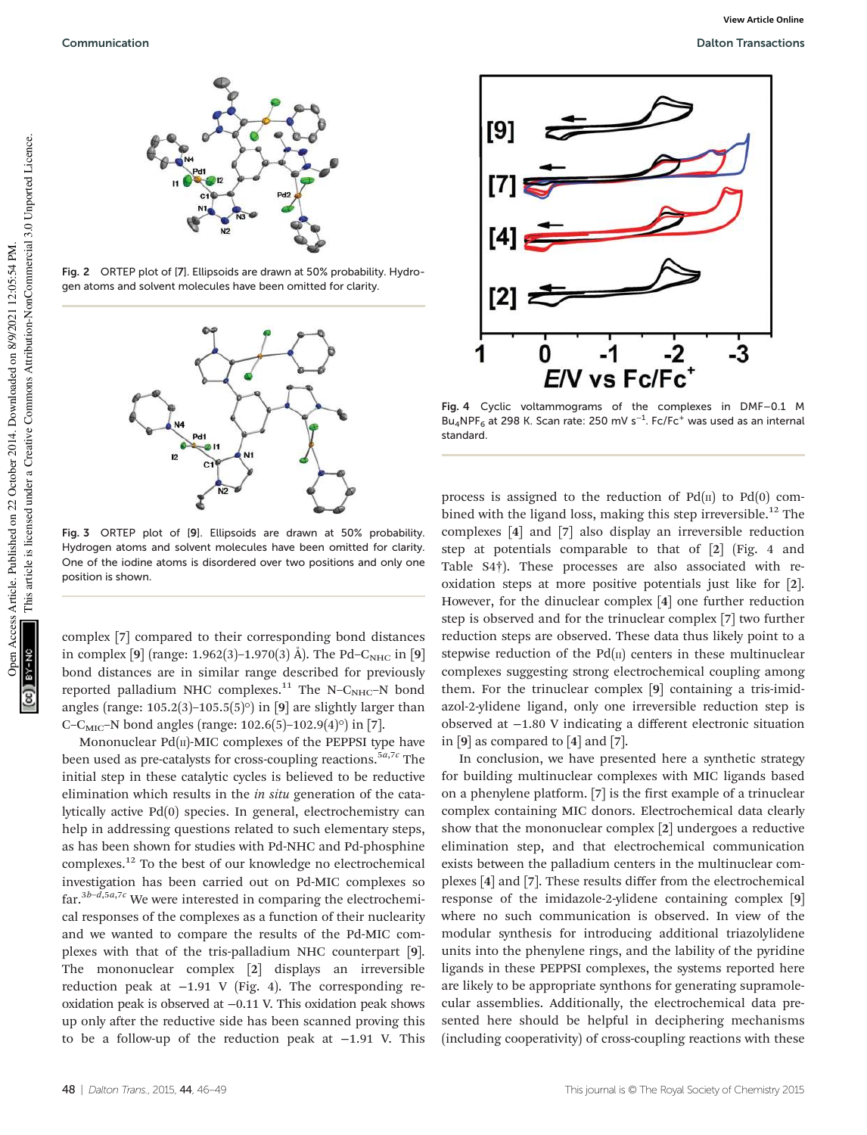

Fig. 2 ORTEP plot of [7]. Ellipsoids are drawn at 50% probability. Hydrogen atoms and solvent molecules have been omitted for clarity.



Fig. 3 ORTEP plot of [9]. Ellipsoids are drawn at 50% probability. Hydrogen atoms and solvent molecules have been omitted for clarity. One of the iodine atoms is disordered over two positions and only one position is shown.

complex [7] compared to their corresponding bond distances in complex [9] (range: 1.962(3)–1.970(3) Å). The Pd–C<sub>NHC</sub> in [9] bond distances are in similar range described for previously reported palladium NHC complexes.<sup>11</sup> The N–C<sub>NHC</sub>–N bond angles (range: 105.2(3)-105.5(5) $\circ$ ) in [9] are slightly larger than C–C<sub>MIC</sub>–N bond angles (range: 102.6(5)–102.9(4)<sup>o</sup>) in [7].

Mononuclear  $Pd(n)$ -MIC complexes of the PEPPSI type have been used as pre-catalysts for cross-coupling reactions.<sup>5a,7c</sup> The initial step in these catalytic cycles is believed to be reductive elimination which results in the in situ generation of the catalytically active Pd(0) species. In general, electrochemistry can help in addressing questions related to such elementary steps, as has been shown for studies with Pd-NHC and Pd-phosphine complexes.<sup>12</sup> To the best of our knowledge no electrochemical investigation has been carried out on Pd-MIC complexes so far.<sup>3b-d,5a,7c</sup> We were interested in comparing the electrochemical responses of the complexes as a function of their nuclearity and we wanted to compare the results of the Pd-MIC complexes with that of the tris-palladium NHC counterpart [9]. The mononuclear complex [2] displays an irreversible reduction peak at −1.91 V (Fig. 4). The corresponding reoxidation peak is observed at −0.11 V. This oxidation peak shows up only after the reductive side has been scanned proving this to be a follow-up of the reduction peak at −1.91 V. This



Fig. 4 Cyclic voltammograms of the complexes in DMF–0.1 M Bu<sub>4</sub>NPF<sub>6</sub> at 298 K. Scan rate: 250 mV s<sup>-1</sup>. Fc/Fc<sup>+</sup> was used as an internal standard.

process is assigned to the reduction of  $Pd(n)$  to  $Pd(0)$  combined with the ligand loss, making this step irreversible.<sup>12</sup> The complexes [4] and [7] also display an irreversible reduction step at potentials comparable to that of [2] (Fig. 4 and Table S4†). These processes are also associated with reoxidation steps at more positive potentials just like for [2]. However, for the dinuclear complex [4] one further reduction step is observed and for the trinuclear complex [7] two further reduction steps are observed. These data thus likely point to a stepwise reduction of the  $Pd(n)$  centers in these multinuclear complexes suggesting strong electrochemical coupling among them. For the trinuclear complex [9] containing a tris-imidazol-2-ylidene ligand, only one irreversible reduction step is observed at −1.80 V indicating a different electronic situation in [9] as compared to [4] and [7].

In conclusion, we have presented here a synthetic strategy for building multinuclear complexes with MIC ligands based on a phenylene platform. [7] is the first example of a trinuclear complex containing MIC donors. Electrochemical data clearly show that the mononuclear complex [2] undergoes a reductive elimination step, and that electrochemical communication exists between the palladium centers in the multinuclear complexes [4] and [7]. These results differ from the electrochemical response of the imidazole-2-ylidene containing complex [9] where no such communication is observed. In view of the modular synthesis for introducing additional triazolylidene units into the phenylene rings, and the lability of the pyridine ligands in these PEPPSI complexes, the systems reported here are likely to be appropriate synthons for generating supramolecular assemblies. Additionally, the electrochemical data presented here should be helpful in deciphering mechanisms (including cooperativity) of cross-coupling reactions with these